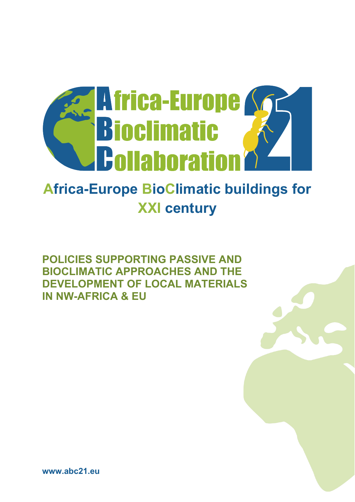

# **Africa-Europe BioClimatic buildings for XXI century**

**POLICIES SUPPORTING PASSIVE AND BIOCLIMATIC APPROACHES AND THE DEVELOPMENT OF LOCAL MATERIALS IN NW-AFRICA & EU**

**www.abc21.eu**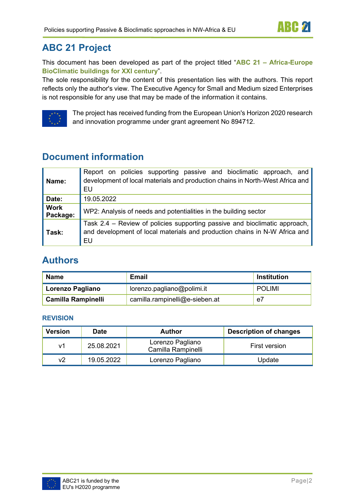# **ABC 21 Project**

This document has been developed as part of the project titled "**ABC 21 – Africa-Europe BioClimatic buildings for XXI century**".

The sole responsibility for the content of this presentation lies with the authors. This report reflects only the author's view. The Executive Agency for Small and Medium sized Enterprises is not responsible for any use that may be made of the information it contains.



The project has received funding from the European Union's Horizon 2020 research and innovation programme under grant agreement No 894712.

# **Document information**

| Name:                   | Report on policies supporting passive and bioclimatic approach, and<br>development of local materials and production chains in North-West Africa and<br>EU     |
|-------------------------|----------------------------------------------------------------------------------------------------------------------------------------------------------------|
| Date:                   | 19.05.2022                                                                                                                                                     |
| <b>Work</b><br>Package: | WP2: Analysis of needs and potentialities in the building sector                                                                                               |
| Task:                   | Task 2.4 - Review of policies supporting passive and bioclimatic approach,<br>and development of local materials and production chains in N-W Africa and<br>EU |

# **Authors**

| <b>Name</b>               | Email                          | Institution   |
|---------------------------|--------------------------------|---------------|
| Lorenzo Pagliano          | lorenzo.pagliano@polimi.it     | <b>POLIMI</b> |
| <b>Camilla Rampinelli</b> | camilla.rampinelli@e-sieben.at | e7            |

#### **REVISION**

| <b>Version</b> | <b>Date</b> | <b>Author</b>                          | <b>Description of changes</b> |  |
|----------------|-------------|----------------------------------------|-------------------------------|--|
| v1             | 25.08.2021  | Lorenzo Pagliano<br>Camilla Rampinelli | First version                 |  |
| v2             | 19.05.2022  | Lorenzo Pagliano                       | Update                        |  |

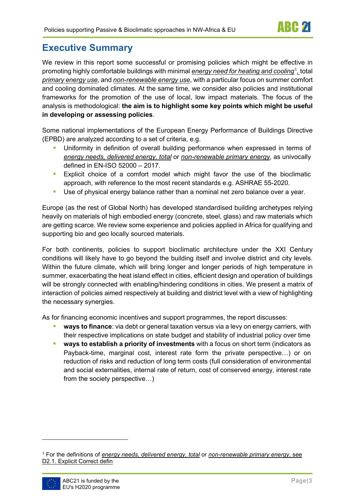# **Executive Summary**

We review in this report some successful or promising policies which might be effective in promoting highly comfortable buildings with minimal <u>energy need for heating and cooling</u>[1](#page-2-0)<u>, t</u>otal *primary energy use*, and *non-renewable energy use*, with a particular focus on summer comfort and cooling dominated climates. At the same time, we consider also policies and institutional frameworks for the promotion of the use of local, low impact materials. The focus of the analysis is methodological: **the aim is to highlight some key points which might be useful in developing or assessing policies**.

Some national implementations of the European Energy Performance of Buildings Directive (EPBD) are analyzed according to a set of criteria, e.g.

- Uniformity in definition of overall building performance when expressed in terms of *energy needs, delivered energy, total* or *non-renewable primary energy*, as univocally defined in EN-ISO 52000 – 2017.
- **Explicit choice of a comfort model which might favor the use of the bioclimatic** approach, with reference to the most recent standards e.g. ASHRAE 55-2020.
- **Use of physical energy balance rather than a nominal net zero balance over a year.**

Europe (as the rest of Global North) has developed standardised building archetypes relying heavily on materials of high embodied energy (concrete, steel, glass) and raw materials which are getting scarce. We review some experience and policies applied in Africa for qualifying and supporting bio and geo locally sourced materials.

For both continents, policies to support bioclimatic architecture under the XXI Century conditions will likely have to go beyond the building itself and involve district and city levels. Within the future climate, which will bring longer and longer periods of high temperature in summer, exacerbating the heat island effect in cities, efficient design and operation of buildings will be strongly connected with enabling/hindering conditions in cities. We present a matrix of interaction of policies aimed respectively at building and district level with a view of highlighting the necessary synergies.

As for financing economic incentives and support programmes, the report discusses:

- **ways to finance**: via debt or general taxation versus via a levy on energy carriers, with their respective implications on state budget and stability of industrial policy over time
- **ways to establish a priority of investments** with a focus on short term (indicators as Payback-time, marginal cost, interest rate form the private perspective…) or on reduction of risks and reduction of long term costs (full consideration of environmental and social externalities, internal rate of return, cost of conserved energy, interest rate from the society perspective…)

<span id="page-2-0"></span><sup>1</sup> For the definitions of *energy needs, delivered energy, total* or *non-renewable primary energy,* see D2.1. Explicit Correct defin

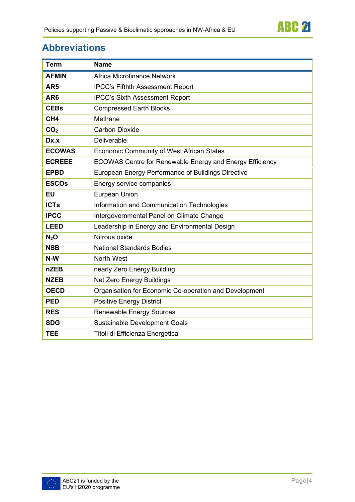

# **Abbreviations**

| <b>Term</b>      | <b>Name</b>                                              |  |
|------------------|----------------------------------------------------------|--|
| <b>AFMIN</b>     | Africa Microfinance Network                              |  |
| AR <sub>5</sub>  | <b>IPCC's Fifthth Assessment Report</b>                  |  |
| AR <sub>6</sub>  | <b>IPCC's Sixth Assessment Report</b>                    |  |
| <b>CEBs</b>      | <b>Compressed Earth Blocks</b>                           |  |
| CH <sub>4</sub>  | Methane                                                  |  |
| CO <sub>2</sub>  | <b>Carbon Dioxide</b>                                    |  |
| Dx.x             | Deliverable                                              |  |
| <b>ECOWAS</b>    | <b>Economic Community of West African States</b>         |  |
| <b>ECREEE</b>    | ECOWAS Centre for Renewable Energy and Energy Efficiency |  |
| <b>EPBD</b>      | European Energy Performance of Buildings Directive       |  |
| <b>ESCOs</b>     | Energy service companies                                 |  |
| <b>EU</b>        | Eurpean Union                                            |  |
| <b>ICTs</b>      | Information and Communication Technologies               |  |
| <b>IPCC</b>      | Intergovernmental Panel on Climate Change                |  |
| <b>LEED</b>      | Leadership in Energy and Environmental Design            |  |
| N <sub>2</sub> O | Nitrous oxide                                            |  |
| <b>NSB</b>       | <b>National Standards Bodies</b>                         |  |
| N-W              | North-West                                               |  |
| <b>nZEB</b>      | nearly Zero Energy Building                              |  |
| <b>NZEB</b>      | Net Zero Energy Buildings                                |  |
| <b>OECD</b>      | Organisation for Economic Co-operation and Development   |  |
| <b>PED</b>       | <b>Positive Energy District</b>                          |  |
| <b>RES</b>       | <b>Renewable Energy Sources</b>                          |  |
| <b>SDG</b>       | Sustainable Development Goals                            |  |
| <b>TEE</b>       | Titoli di Efficienza Energetica                          |  |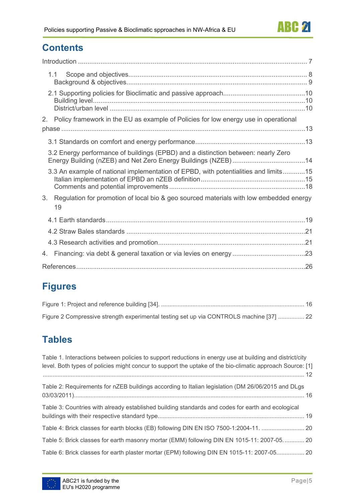# **Contents**

| 1.1                                                                                                |  |
|----------------------------------------------------------------------------------------------------|--|
|                                                                                                    |  |
| 2. Policy framework in the EU as example of Policies for low energy use in operational             |  |
|                                                                                                    |  |
|                                                                                                    |  |
| 3.2 Energy performance of buildings (EPBD) and a distinction between: nearly Zero                  |  |
| 3.3 An example of national implementation of EPBD, with potentialities and limits15                |  |
| 3.<br>Regulation for promotion of local bio & geo sourced materials with low embedded energy<br>19 |  |
|                                                                                                    |  |
|                                                                                                    |  |
|                                                                                                    |  |
| 4.                                                                                                 |  |
|                                                                                                    |  |

# **Figures**

| Figure 2 Compressive strength experimental testing set up via CONTROLS machine [37]  22 |  |
|-----------------------------------------------------------------------------------------|--|

# **Tables**

| Table 1. Interactions between policies to support reductions in energy use at building and district/city<br>level. Both types of policies might concur to support the uptake of the bio-climatic approach Source: [1] |
|-----------------------------------------------------------------------------------------------------------------------------------------------------------------------------------------------------------------------|
| Table 2: Requirements for nZEB buildings according to Italian legislation (DM 26/06/2015 and DLgs                                                                                                                     |
| Table 3: Countries with already established building standards and codes for earth and ecological                                                                                                                     |
| Table 4: Brick classes for earth blocks (EB) following DIN EN ISO 7500-1:2004-11.  20                                                                                                                                 |
| Table 5: Brick classes for earth masonry mortar (EMM) following DIN EN 1015-11: 2007-05 20                                                                                                                            |
| Table 6: Brick classes for earth plaster mortar (EPM) following DIN EN 1015-11: 2007-05 20                                                                                                                            |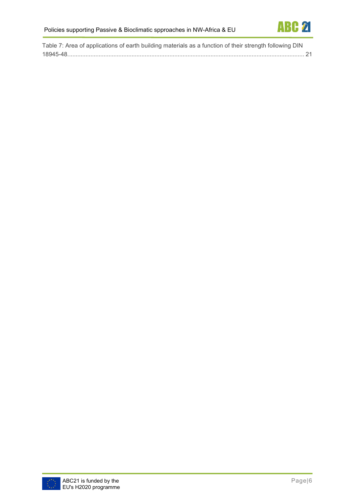

| Table 7: Area of applications of earth building materials as a function of their strength following DIN |  |
|---------------------------------------------------------------------------------------------------------|--|
|                                                                                                         |  |

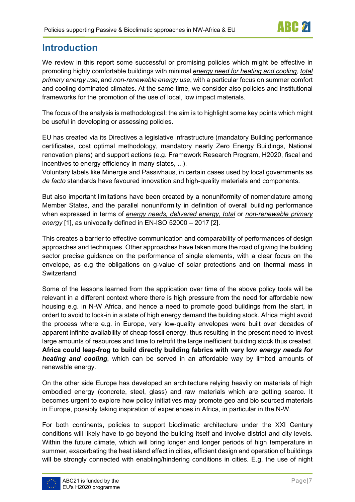## <span id="page-6-0"></span>**Introduction**

We review in this report some successful or promising policies which might be effective in promoting highly comfortable buildings with minimal *energy need for heating and cooling, total primary energy use*, and *non-renewable energy use*, with a particular focus on summer comfort and cooling dominated climates. At the same time, we consider also policies and institutional frameworks for the promotion of the use of local, low impact materials.

The focus of the analysis is methodological: the aim is to highlight some key points which might be useful in developing or assessing policies.

EU has created via its Directives a legislative infrastructure (mandatory Building performance certificates, cost optimal methodology, mandatory nearly Zero Energy Buildings, National renovation plans) and support actions (e.g. Framework Research Program, H2020, fiscal and incentives to energy efficiency in many states, ...).

Voluntary labels like Minergie and Passivhaus, in certain cases used by local governments as *de facto* standards have favoured innovation and high-quality materials and components.

But also important limitations have been created by a nonuniformity of nomenclature among Member States, and the parallel nonuniformity in definition of overall building performance when expressed in terms of *energy needs, delivered energy, total* or *non-renewable primary energy* [1], as univocally defined in EN-ISO 52000 – 2017 [2].

This creates a barrier to effective communication and comparability of performances of design approaches and techniques. Other approaches have taken more the road of giving the building sector precise guidance on the performance of single elements, with a clear focus on the envelope, as e.g the obligations on g-value of solar protections and on thermal mass in Switzerland.

Some of the lessons learned from the application over time of the above policy tools will be relevant in a different context where there is high pressure from the need for affordable new housing e.g. in N-W Africa, and hence a need to promote good buildings from the start, in ordert to avoid to lock-in in a state of high energy demand the building stock. Africa might avoid the process where e.g. in Europe, very low-quality envelopes were built over decades of apparent infinite availability of cheap fossil energy, thus resulting in the present need to invest large amounts of resources and time to retrofit the large inefficient building stock thus created. **Africa could leap-frog to build directly building fabrics with very low** *energy needs for heating and cooling*, which can be served in an affordable way by limited amounts of renewable energy.

On the other side Europe has developed an architecture relying heavily on materials of high embodied energy (concrete, steel, glass) and raw materials which are getting scarce. It becomes urgent to explore how policy initiatives may promote geo and bio sourced materials in Europe, possibly taking inspiration of experiences in Africa, in particular in the N-W.

For both continents, policies to support bioclimatic architecture under the XXI Century conditions will likely have to go beyond the building itself and involve district and city levels. Within the future climate, which will bring longer and longer periods of high temperature in summer, exacerbating the heat island effect in cities, efficient design and operation of buildings will be strongly connected with enabling/hindering conditions in cities. E.g. the use of night

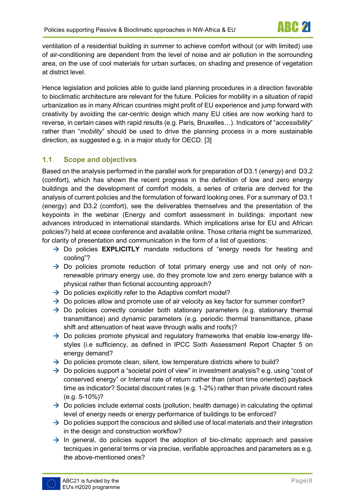ventilation of a residential building in summer to achieve comfort without (or with limited) use of air-conditioning are dependent from the level of noise and air pollution in the sorrounding area, on the use of cool materials for urban surfaces, on shading and presence of vegetation at district level.

Hence legislation and policies able to guide land planning procedures in a direction favorable to bioclimatic architecture are relevant for the future. Policies for mobility in a situation of rapid urbanization as in many African countries might profit of EU experience and jump forward with creativity by avoiding the car-centric design which many EU cities are now working hard to reverse, in certain cases with rapid results (e.g. Paris, Bruxelles…). Indicators of "*accessibility*" rather than "*mobility*" should be used to drive the planning process in a more sustainable direction, as suggested e.g. in a major study for OECD. [3]

### <span id="page-7-0"></span>**1.1 Scope and objectives**

Based on the analysis performed in the parallel work for preparation of D3.1 (energy) and D3.2 (comfort), which has shown the recent progress in the definition of low and zero energy buildings and the development of comfort models, a series of criteria are derived for the analysis of current policies and the formulation of forward looking ones. For a summary of D3.1 (energy) and D3.2 (comfort), see the deliverables themselves and the presentation of the keypoints in the webinar (Energy and comfort assessment in buildings: important new advances introduced in international standards. Which implications arise for EU and African policies?) held at eceee conference and available [online.](https://www.youtube.com/watch?v=DDuiDITT77Y&t=3s) Those criteria might be summarized, for clarity of presentation and communication in the form of a list of questions:

- → Do policies **EXPLICITLY** mandate reductions of "energy needs for heating and cooling"?
- $\rightarrow$  Do policies promote reduction of total primary energy use and not only of nonrenewable primary energy use, do they promote low and zero energy balance with a physical rather than fictional accounting approach?
- $\rightarrow$  Do policies explicitly refer to the Adaptive comfort model?
- $\rightarrow$  Do policies allow and promote use of air velocity as key factor for summer comfort?
- $\rightarrow$  Do policies correctly consider both stationary parameters (e.g. stationary thermal transmittance) and dynamic parameters (e.g. periodic thermal transmittance, phase shift and attenuation of heat wave through walls and roofs)?
- $\rightarrow$  Do policies promote physical and regulatory frameworks that enable low-energy lifestyles (i.e sufficiency, as defined in IPCC Sixth Assessment Report Chapter 5 on energy demand?
- $\rightarrow$  Do policies promote clean, silent, low temperature districts where to build?
- $\rightarrow$  Do policies support a "societal point of view" in investment analysis? e.g. using "cost of conserved energy" or Internal rate of return rather than (short time oriented) payback time as indicator? Societal discount rates (e.g. 1-2%) rather than private discount rates (e.g. 5-10%)?
- $\rightarrow$  Do policies include external costs (pollution, health damage) in calculating the optimal level of energy needs or energy performance of buildings to be enforced?
- $\rightarrow$  Do policies support the conscious and skilled use of local materials and their integration in the design and construction workflow?
- $\rightarrow$  In general, do policies support the adoption of bio-climatic approach and passive tecniques in general terms or via precise, verifiable approaches and parameters as e.g. the above-mentioned ones?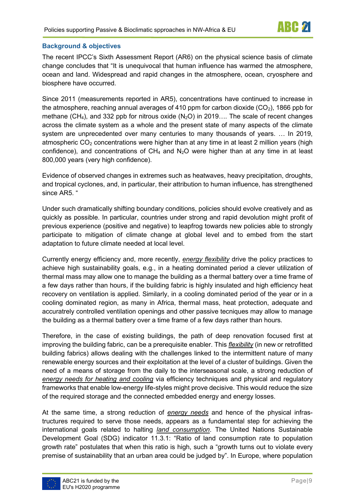#### <span id="page-8-0"></span>**Background & objectives**

The recent IPCC's Sixth Assessment Report (AR6) on the physical science basis of climate change concludes that "It is unequivocal that human influence has warmed the atmosphere, ocean and land. Widespread and rapid changes in the atmosphere, ocean, cryosphere and biosphere have occurred.

Since 2011 (measurements reported in AR5), concentrations have continued to increase in the atmosphere, reaching annual averages of 410 ppm for carbon dioxide  $(CO<sub>2</sub>)$ , 1866 ppb for methane (CH<sub>4</sub>), and 332 ppb for nitrous oxide (N<sub>2</sub>O) in 2019.... The scale of recent changes across the climate system as a whole and the present state of many aspects of the climate system are unprecedented over many centuries to many thousands of years. … In 2019, atmospheric  $CO<sub>2</sub>$  concentrations were higher than at any time in at least 2 million years (high confidence), and concentrations of  $CH_4$  and  $N_2O$  were higher than at any time in at least 800,000 years (very high confidence).

Evidence of observed changes in extremes such as heatwaves, heavy precipitation, droughts, and tropical cyclones, and, in particular, their attribution to human influence, has strengthened since AR5. "

Under such dramatically shifting boundary conditions, policies should evolve creatively and as quickly as possible. In particular, countries under strong and rapid devolution might profit of previous experience (positive and negative) to leapfrog towards new policies able to strongly participate to mitigation of climate change at global level and to embed from the start adaptation to future climate needed at local level.

Currently energy efficiency and, more recently, *energy flexibility* drive the policy practices to achieve high sustainability goals, e.g., in a heating dominated period a clever utilization of thermal mass may allow one to manage the building as a thermal battery over a time frame of a few days rather than hours, if the building fabric is highly insulated and high efficiency heat recovery on ventilation is applied. Similarly, in a cooling dominated period of the year or in a cooling dominated region, as many in Africa, thermal mass, heat protection, adequate and accuratrely controlled ventilation openings and other passive tecniques may allow to manage the building as a thermal battery over a time frame of a few days rather than hours.

Therefore, in the case of existing buildings, the path of deep renovation focused first at improving the building fabric, can be a prerequisite enabler. This *flexibility* (in new or retrofitted building fabrics) allows dealing with the challenges linked to the intermittent nature of many renewable energy sources and their exploitation at the level of a cluster of buildings. Given the need of a means of storage from the daily to the interseasonal scale, a strong reduction of *energy needs for heating and cooling* via efficiency techniques and physical and regulatory frameworks that enable low-energy life-styles might prove decisive. This would reduce the size of the required storage and the connected embedded energy and energy losses.

At the same time, a strong reduction of *energy needs* and hence of the physical infrastructures required to serve those needs, appears as a fundamental step for achieving the international goals related to halting *land consumption*. The United Nations Sustainable Development Goal (SDG) indicator 11.3.1: "Ratio of land consumption rate to population growth rate" postulates that when this ratio is high, such a "growth turns out to violate every premise of sustainability that an urban area could be judged by". In Europe, where population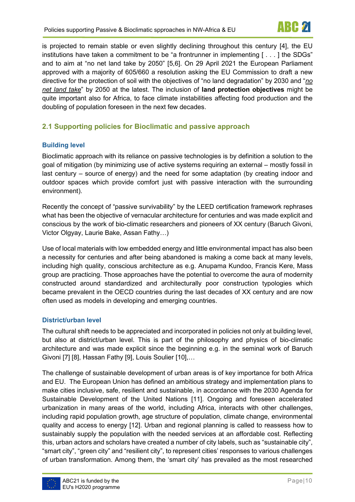is projected to remain stable or even slightly declining throughout this century [4], the EU institutions have taken a commitment to be "a frontrunner in implementing [ . . . ] the SDGs" and to aim at "no net land take by 2050" [5,6]. On 29 April 2021 the European Parliament approved with a majority of 605/660 a resolution asking the EU Commission to draft a new directive for the protection of soil with the objectives of "no land degradation" by 2030 and "*no net land take*" by 2050 at the latest. The inclusion of **land protection objectives** might be quite important also for Africa, to face climate instabilities affecting food production and the doubling of population foreseen in the next few decades.

### <span id="page-9-0"></span>**2.1 Supporting policies for Bioclimatic and passive approach**

#### <span id="page-9-1"></span>**Building level**

Bioclimatic approach with its reliance on passive technologies is by definition a solution to the goal of mitigation (by minimizing use of active systems requiring an external – mostly fossil in last century – source of energy) and the need for some adaptation (by creating indoor and outdoor spaces which provide comfort just with passive interaction with the surrounding environment).

Recently the concept of "passive survivability" by the LEED certification framework rephrases what has been the objective of vernacular architecture for centuries and was made explicit and conscious by the work of bio-climatic researchers and pioneers of XX century (Baruch Givoni, Victor Olgyay, Laurie Bake, Assan Fathy…)

Use of local materials with low embedded energy and little environmental impact has also been a necessity for centuries and after being abandoned is making a come back at many levels, including high quality, conscious architecture as e.g. Anupama Kundoo, Francis Kere, Mass group are practicing. Those approaches have the potential to overcome the aura of modernity constructed around standardized and architecturally poor construction typologies which became prevalent in the OECD countries during the last decades of XX century and are now often used as models in developing and emerging countries.

#### <span id="page-9-2"></span>**District/urban level**

The cultural shift needs to be appreciated and incorporated in policies not only at building level, but also at district/urban level. This is part of the philosophy and physics of bio-climatic architecture and was made explicit since the beginning e.g. in the seminal work of Baruch Givoni [7] [8], Hassan Fathy [9], Louis Soulier [10],…

The challenge of sustainable development of urban areas is of key importance for both Africa and EU. The European Union has defined an ambitious strategy and implementation plans to make cities inclusive, safe, resilient and sustainable, in accordance with the 2030 Agenda for Sustainable Development of the United Nations [11]. Ongoing and foreseen accelerated urbanization in many areas of the world, including Africa, interacts with other challenges, including rapid population growth, age structure of population, climate change, environmental quality and access to energy [12]. Urban and regional planning is called to reassess how to sustainably supply the population with the needed services at an affordable cost. Reflecting this, urban actors and scholars have created a number of city labels, such as "sustainable city", "smart city", "green city" and "resilient city", to represent cities' responses to various challenges of urban transformation. Among them, the 'smart city' has prevailed as the most researched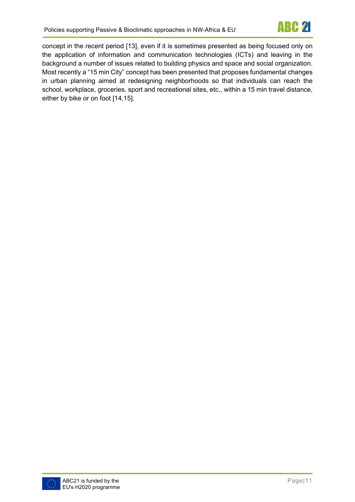

concept in the recent period [13], even if it is sometimes presented as being focused only on the application of information and communication technologies (ICTs) and leaving in the background a number of issues related to building physics and space and social organization. Most recently a "15 min City" concept has been presented that proposes fundamental changes in urban planning aimed at redesigning neighborhoods so that individuals can reach the school, workplace, groceries, sport and recreational sites, etc., within a 15 min travel distance, either by bike or on foot [14,15].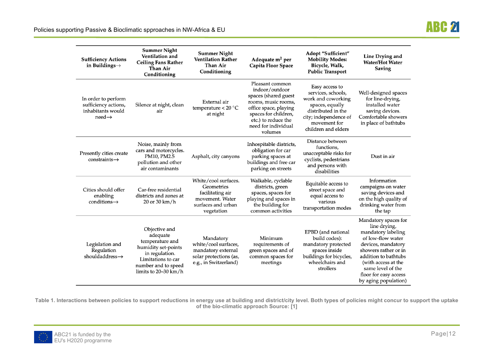| <b>Sufficiency Actions</b><br>in Buildings $\rightarrow$                               | <b>Summer Night</b><br><b>Ventilation and</b><br><b>Ceiling Fans Rather</b><br>Than Air<br>Conditioning                                                      | <b>Summer Night</b><br><b>Ventilation Rather</b><br>Than Air<br>Conditioning                                  | Adequate m <sup>2</sup> per<br>Capita Floor Space                                                                                                                                          | Adopt "Sufficient"<br><b>Mobility Modes:</b><br>Bicycle, Walk,<br><b>Public Transport</b>                                                                           | Line Drying and<br><b>Water/Hot Water</b><br><b>Saving</b>                                                                                                                                                                                         |
|----------------------------------------------------------------------------------------|--------------------------------------------------------------------------------------------------------------------------------------------------------------|---------------------------------------------------------------------------------------------------------------|--------------------------------------------------------------------------------------------------------------------------------------------------------------------------------------------|---------------------------------------------------------------------------------------------------------------------------------------------------------------------|----------------------------------------------------------------------------------------------------------------------------------------------------------------------------------------------------------------------------------------------------|
| In order to perform<br>sufficiency actions,<br>inhabitants would<br>$need \rightarrow$ | Silence at night, clean<br>air                                                                                                                               | External air<br>temperature < $20^{\circ}$ C<br>at night                                                      | Pleasant common<br>indoor/outdoor<br>spaces (shared guest<br>rooms, music rooms,<br>office space, playing<br>spaces for children,<br>etc.) to reduce the<br>need for individual<br>volumes | Easy access to<br>services, schools,<br>work and coworking<br>spaces, equally<br>distributed in the<br>city; independence of<br>movement for<br>children and elders | Well-designed spaces<br>for line-drying,<br>installed water<br>saving devices.<br>Comfortable showers<br>in place of bathtubs                                                                                                                      |
| Presently cities create<br>$constraints \rightarrow$                                   | Noise, mainly from<br>cars and motorcycles.<br>PM10, PM2.5<br>pollution and other<br>air contaminants                                                        | Asphalt, city canyons                                                                                         | Inhospitable districts,<br>obligation for car<br>parking spaces at<br>buildings and free car<br>parking on streets                                                                         | Distance between<br>functions,<br>unacceptable risks for<br>cyclists, pedestrians<br>and persons with<br>disabilities                                               | Dust in air                                                                                                                                                                                                                                        |
| Cities should offer<br>enabling<br>conditions $\rightarrow$                            | Car-free residential<br>districts and zones at<br>20 or 30 km/h                                                                                              | White/cool surfaces.<br>Geometries<br>facilitating air<br>movement. Water<br>surfaces and urban<br>vegetation | Walkable, cyclable<br>districts, green<br>spaces, spaces for<br>playing and spaces in<br>the building for<br>common activities                                                             | Equitable access to<br>street space and<br>equal access to<br>various<br>transportation modes                                                                       | Information<br>campaigns on water<br>saving devices and<br>on the high quality of<br>drinking water from<br>the tap                                                                                                                                |
| Legislation and<br>Regulation<br>shouldaddress $\rightarrow$                           | Objective and<br>adequate<br>temperature and<br>humidity set-points<br>in regulation.<br>Limitations to car<br>number and to speed<br>limits to $20-30$ km/h | Mandatory<br>white/cool surfaces,<br>mandatory external<br>solar protections (as,<br>e.g., in Switzerland)    | Minimum<br>requirements of<br>green spaces and of<br>common spaces for<br>meetings                                                                                                         | EPBD (and national<br>build codes):<br>mandatory protected<br>spaces inside<br>buildings for bicycles,<br>wheelchairs and<br>strollers                              | Mandatory spaces for<br>line drying,<br>mandatory labeling<br>of low-flow water<br>devices, mandatory<br>showers rather or in<br>addition to bathtubs<br>(with access at the<br>same level of the<br>floor for easy access<br>by aging population) |

**Table 1. Interactions between policies to support reductions in energy use at building and district/city level. Both types of policies might concur to support the uptake of the bio-climatic approach Source: [1]** 

<span id="page-11-0"></span>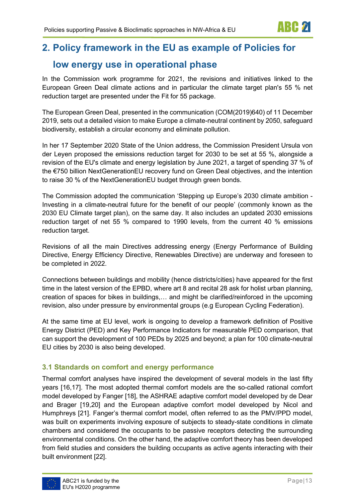# <span id="page-12-0"></span>**2. Policy framework in the EU as example of Policies for**

# **low energy use in operational phase**

In the Commission work programme for 2021, the revisions and initiatives linked to the European Green Deal climate actions and in particular the climate target plan's 55 % net reduction target are presented under the Fit for 55 package.

The European Green Deal, presented in the communication (COM(2019)640) of 11 December 2019, sets out a detailed vision to make Europe a climate-neutral continent by 2050, safeguard biodiversity, establish a circular economy and eliminate pollution.

In her 17 September 2020 State of the Union address, the Commission President Ursula von der Leyen proposed the emissions reduction target for 2030 to be set at 55 %, alongside a revision of the EU's climate and energy legislation by June 2021, a target of spending 37 % of the €750 billion NextGenerationEU recovery fund on Green Deal objectives, and the intention to raise 30 % of the NextGenerationEU budget through green bonds.

The Commission adopted the communication 'Stepping up Europe's 2030 climate ambition - Investing in a climate-neutral future for the benefit of our people' (commonly known as the 2030 EU Climate target plan), on the same day. It also includes an updated 2030 emissions reduction target of net 55 % compared to 1990 levels, from the current 40 % emissions reduction target.

Revisions of all the main Directives addressing energy (Energy Performance of Building Directive, Energy Efficiency Directive, Renewables Directive) are underway and foreseen to be completed in 2022.

Connections between buildings and mobility (hence districts/cities) have appeared for the first time in the latest version of the EPBD, where art 8 and recital 28 ask for holist urban planning, creation of spaces for bikes in buildings,… and might be clarified/reinforced in the upcoming revision, also under pressure by environmental groups (e.g European Cycling Federation).

At the same time at EU level, work is ongoing to develop a framework definition of Positive Energy District (PED) and Key Performance Indicators for measurable PED comparison, that can support the development of 100 PEDs by 2025 and beyond; a plan for 100 climate-neutral EU cities by 2030 is also being developed.

### <span id="page-12-1"></span>**3.1 Standards on comfort and energy performance**

Thermal comfort analyses have inspired the development of several models in the last fifty years [16,17]. The most adopted thermal comfort models are the so-called rational comfort model developed by Fanger [18], the ASHRAE adaptive comfort model developed by de Dear and Brager [19,20] and the European adaptive comfort model developed by Nicol and Humphreys [21]. Fanger's thermal comfort model, often referred to as the PMV/PPD model, was built on experiments involving exposure of subjects to steady-state conditions in climate chambers and considered the occupants to be passive receptors detecting the surrounding environmental conditions. On the other hand, the adaptive comfort theory has been developed from field studies and considers the building occupants as active agents interacting with their built environment [22].



ARC 21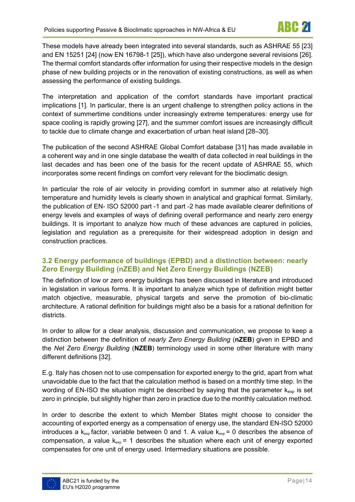These models have already been integrated into several standards, such as ASHRAE 55 [23] and EN 15251 [24] (now EN 16798-1 [25]), which have also undergone several revisions [26]. The thermal comfort standards offer information for using their respective models in the design phase of new building projects or in the renovation of existing constructions, as well as when assessing the performance of existing buildings.

The interpretation and application of the comfort standards have important practical implications [1]. In particular, there is an urgent challenge to strengthen policy actions in the context of summertime conditions under increasingly extreme temperatures: energy use for space cooling is rapidly growing [27], and the summer comfort issues are increasingly difficult to tackle due to climate change and exacerbation of urban heat island [28–30].

The publication of the second ASHRAE Global Comfort database [31] has made available in a coherent way and in one single database the wealth of data collected in real buildings in the last decades and has been one of the basis for the recent update of ASHRAE 55, which incorporates some recent findings on comfort very relevant for the bioclimatic design.

In particular the role of air velocity in providing comfort in summer also at relatively high temperature and humidity levels is clearly shown in analytical and graphical format. Similarly, the publication of EN- ISO 52000 part -1 and part -2 has made available clearer definitions of energy levels and examples of ways of defining overall performance and nearly zero energy buildings. It is important to analyze how much of these advances are captured in policies, legislation and regulation as a prerequisite for their widespread adoption in design and construction practices.

#### <span id="page-13-0"></span>**3.2 Energy performance of buildings (EPBD) and a distinction between: nearly Zero Energy Building (nZEB) and Net Zero Energy Buildings (NZEB)**

The definition of low or zero energy buildings has been discussed in literature and introduced in legislation in various forms. It is important to analyze which type of definition might better match objective, measurable, physical targets and serve the promotion of bio-climatic architecture. A rational definition for buildings might also be a basis for a rational definition for districts.

In order to allow for a clear analysis, discussion and communication, we propose to keep a distinction between the definition of *nearly Zero Energy Building* (**nZEB**) given in EPBD and the *Net Zero Energy Building* (**NZEB**) terminology used in some other literature with many different definitions [32].

E.g. Italy has chosen not to use compensation for exported energy to the grid, apart from what unavoidable due to the fact that the calculation method is based on a monthly time step. In the wording of EN-ISO the situation might be described by saying that the parameter  $k_{exp}$  is set zero in principle, but slightly higher than zero in practice due to the monthly calculation method.

In order to describe the extent to which Member States might choose to consider the accounting of exported energy as a compensation of energy use, the standard EN-ISO 52000 introduces a  $k_{exp}$  factor, variable between 0 and 1. A value  $k_{exp}$  = 0 describes the absence of compensation, a value  $k_{exp}$  = 1 describes the situation where each unit of energy exported compensates for one unit of energy used. Intermediary situations are possible.

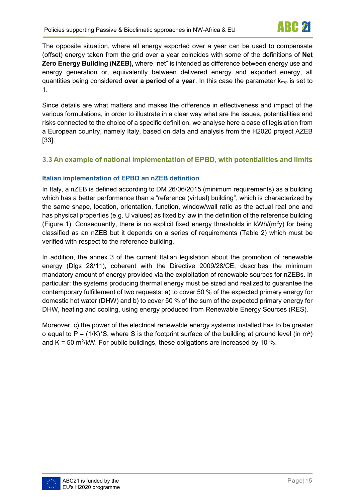The opposite situation, where all energy exported over a year can be used to compensate (offset) energy taken from the grid over a year coincides with some of the definitions of **Net Zero Energy Building (NZEB),** where "net" is intended as difference between energy use and energy generation or, equivalently between delivered energy and exported energy, all quantities being considered **over a period of a year**. In this case the parameter kexp is set to 1.

Since details are what matters and makes the difference in effectiveness and impact of the various formulations, in order to illustrate in a clear way what are the issues, potentialities and risks connected to the choice of a specific definition, we analyse here a case of legislation from a European country, namely Italy, based on data and analysis from the H2020 project AZEB [33].

#### <span id="page-14-0"></span>**3.3 An example of national implementation of EPBD, with potentialities and limits**

#### <span id="page-14-1"></span>**Italian implementation of EPBD an nZEB definition**

In Italy, a nZEB is defined according to DM 26/06/2015 (minimum requirements) as a building which has a better performance than a "reference (virtual) building", which is characterized by the same shape, location, orientation, function, window/wall ratio as the actual real one and has physical properties (e.g. U values) as fixed by law in the definition of the reference building [\(Figure 1\)](#page-15-0). Consequently, there is no explicit fixed energy thresholds in  $kWh/(m^2y)$  for being classified as an nZEB but it depends on a series of requirements [\(Table 2\)](#page-15-1) which must be verified with respect to the reference building.

In addition, the annex 3 of the current Italian legislation about the promotion of renewable energy (Dlgs 28/11), coherent with the Directive 2009/28/CE, describes the minimum mandatory amount of energy provided via the exploitation of renewable sources for nZEBs. In particular: the systems producing thermal energy must be sized and realized to guarantee the contemporary fulfillement of two requests: a) to cover 50 % of the expected primary energy for domestic hot water (DHW) and b) to cover 50 % of the sum of the expected primary energy for DHW, heating and cooling, using energy produced from Renewable Energy Sources (RES).

Moreover, c) the power of the electrical renewable energy systems installed has to be greater o equal to P = (1/K)\*S, where S is the footprint surface of the building at ground level (in m<sup>2</sup>) and K = 50 m<sup>2</sup>/kW. For public buildings, these obligations are increased by 10 %.

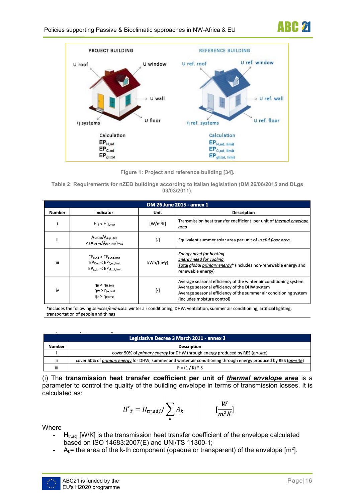



**Figure 1: Project and reference building [34].** 

<span id="page-15-1"></span><span id="page-15-0"></span>**Table 2: Requirements for nZEB buildings according to Italian legislation (DM 26/06/2015 and DLgs 03/03/2011).**

| DM 26 June 2015 - annex 1 |                                                                                                 |                         |                                                                                                                                                                                                                        |  |
|---------------------------|-------------------------------------------------------------------------------------------------|-------------------------|------------------------------------------------------------------------------------------------------------------------------------------------------------------------------------------------------------------------|--|
| <b>Number</b>             | <b>Indicator</b>                                                                                | Unit                    | <b>Description</b>                                                                                                                                                                                                     |  |
|                           | $H'_T < H'_{T,max}$                                                                             | $[W/m^2K]$              | Transmission heat transfer coefficient per unit of thermal envelope<br>area                                                                                                                                            |  |
| ii                        | $A_{sol,est}/A_{sup,utile}$<br>$<$ $(A_{sol,est}/A_{sup,utile})_{max}$                          | $[\cdot]$               | Equivalent summer solar area per unit of useful floor area                                                                                                                                                             |  |
| iii                       | $EP_{H,nd}$ < $EP_{H,nd,limit}$<br>$EPC,nd < EPC,nd,limit$<br>$EP_{gl,tot} < EP_{gl,tot,limit}$ | $kWh/(m^2v)$            | <b>Energy need for heating</b><br><b>Energy need for cooling</b><br>Total global primary energy* (includes non-renewable energy and<br>renewable energy)                                                               |  |
| iv                        | $\eta_H$ > $\eta_{H,limit}$<br>$\eta_W$ > $\eta_{w,$ limit<br>$\eta_c$ > $\eta_{c,$ limit       | $\lbrack \cdot \rbrack$ | Average seasonal efficiency of the winter air conditioning system<br>Average seasonal efficiency of the DHW system<br>Average seasonal efficiency of the summer air conditioning system<br>(includes moisture control) |  |

\*includes the following services/end-uses: winter air conditioning, DHW, ventilation, summer air conditioning, artificial lighting, transportation of people and things

|        | Legislative Decree 3 March 2011 - annex 3                                                                               |
|--------|-------------------------------------------------------------------------------------------------------------------------|
| Number | <b>Description</b>                                                                                                      |
|        | cover 50% of <i>primary energy</i> for DHW through energy produced by RES ( <i>on-site</i> )                            |
| ii     | cover 50% of <i>primary energy</i> for DHW, summer and winter air conditioning through energy produced by RES (on-site) |
| iii    | $P = (1 / K) * S$                                                                                                       |

(i) The **transmission heat transfer coefficient per unit of** *thermal envelope area* is a parameter to control the quality of the building envelope in terms of transmission losses. It is calculated as:

$$
H'_{T} = H_{tr,adj} / \sum_{k} A_{k} \qquad \qquad [\frac{W}{m^{2} K}]
$$

Where

- $H_{tr,adj}$  [W/K] is the transmission heat transfer coefficient of the envelope calculated based on ISO 14683:2007(E) and UNI/TS 11300-1;
- A<sub>k</sub>= the area of the k-th component (opaque or transparent) of the envelope [m<sup>2</sup>].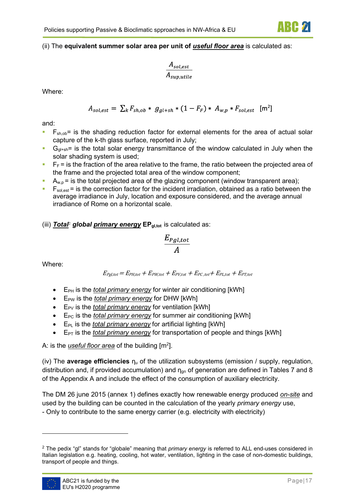#### (ii) The **equivalent summer solar area per unit of** *useful floor area* is calculated as:

$$
\frac{A_{sol,est}}{A_{sup,utile}}
$$

Where:

$$
A_{sol,est} = \sum_{k} F_{sh,ob} * g_{gl+sh} * (1 - F_{F}) * A_{w,p} * F_{sol,est} \text{ [m}^{2]}
$$

and:

- $\blacksquare$  F<sub>sh,ob</sub> = is the shading reduction factor for external elements for the area of actual solar capture of the k-th glass surface, reported in July;
- $G<sub>gl+sh</sub>$  is the total solar energy transmittance of the window calculated in July when the solar shading system is used;
- $\blacksquare$  F<sub>F</sub> = is the fraction of the area relative to the frame, the ratio between the projected area of the frame and the projected total area of the window component;
- $A_{w,p}$  = is the total projected area of the glazing component (window transparent area);
- $\blacksquare$   $\blacksquare$   $\blacksquare$   $\blacksquare$   $\blacksquare$   $\blacksquare$   $\blacksquare$   $\blacksquare$   $\blacksquare$   $\blacksquare$   $\blacksquare$   $\blacksquare$   $\blacksquare$   $\blacksquare$   $\blacksquare$   $\blacksquare$   $\blacksquare$   $\blacksquare$   $\blacksquare$   $\blacksquare$   $\blacksquare$   $\blacksquare$   $\blacksquare$   $\blacksquare$   $\blacksquare$   $\blacksquare$   $\blacksquare$   $\blacksquare$   $\blacksquare$   $\blacksquare$   $\blacksquare$   $\blacks$ average irradiance in July, location and exposure considered, and the average annual irradiance of Rome on a horizontal scale.

#### (iii) *Total*[2](#page-16-0) *global primary energy* **EPgl,tot** is calculated as:

$$
\frac{E_{Pgl,tot}}{A}
$$

Where:

 $E_{Pgl,tot} = E_{PH,tot} + E_{PW,tot} + E_{PV,tot} + E_{PC,tot} + E_{PL,tot} + E_{PT,tot}$ 

- E<sub>PH</sub> is the *total primary energy* for winter air conditioning [kWh]
- E<sub>PW</sub> is the *total primary energy* for DHW [kWh]
- E<sub>PV</sub> is the *total primary energy* for ventilation [kWh]
- E<sub>PC</sub> is the *total primary energy* for summer air conditioning [kWh]
- E<sub>PL</sub> is the *total primary energy* for artificial lighting [kWh]
- EPT is the *total primary energy* for transportation of people and things [kWh]

A: is the <u>*useful floor area*</u> of the building [m<sup>2</sup>].

(iv) The **average efficiencies** η<sup>u</sup> of the utilization subsystems (emission / supply, regulation, distribution and, if provided accumulation) and  $\eta_{qn}$  of generation are defined in Tables 7 and 8 of the Appendix A and include the effect of the consumption of auxiliary electricity.

The DM 26 june 2015 (annex 1) defines exactly how renewable energy produced *on-site* and used by the building can be counted in the calculation of the yearly *primary energy* use,

- Only to contribute to the same energy carrier (e.g. electricity with electricity)

<span id="page-16-0"></span><sup>2</sup> The pedix "gl" stands for "globale" meaning that *primary energy* is referred to ALL end-uses considered in Italian legislation e.g. heating, cooling, hot water, ventilation, lighting in the case of non-domestic buildings, transport of people and things.

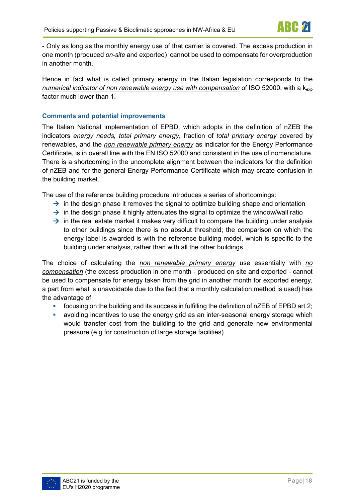- Only as long as the monthly energy use of that carrier is covered. The excess production in one month (produced *on-site* and exported) cannot be used to compensate for overproduction in another month.

Hence in fact what is called primary energy in the Italian legislation corresponds to the *numerical indicator of non renewable energy use with compensation* of ISO 52000, with a kexp factor much lower than 1.

#### <span id="page-17-0"></span>**Comments and potential improvements**

The Italian National implementation of EPBD, which adopts in the definition of nZEB the indicators *energy needs, total primary energy*, fraction of *total primary energy* covered by renewables, and the *non renewable primary energy* as indicator for the Energy Performance Certificate, is in overall line with the EN ISO 52000 and consistent in the use of nomenclature. There is a shortcoming in the uncomplete alignment between the indicators for the definition of nZEB and for the general Energy Performance Certificate which may create confusion in the building market.

The use of the reference building procedure introduces a series of shortcomings:

- $\rightarrow$  in the design phase it removes the signal to optimize building shape and orientation
- $\rightarrow$  in the design phase it highly attenuates the signal to optimize the window/wall ratio
- $\rightarrow$  in the real estate market it makes very difficult to compare the building under analysis to other buildings since there is no absolut threshold; the comparison on which the energy label is awarded is with the reference building model, which is specific to the building under analysis, rather than with all the other buildings.

The choice of calculating the *non renewable primary energy* use essentially with *no compensation* (the excess production in one month - produced on site and exported - cannot be used to compensate for energy taken from the grid in another month for exported energy, a part from what is unavoidable due to the fact that a monthly calculation method is used) has the advantage of:

- focusing on the building and its success in fulfilling the definition of nZEB of EPBD art.2;
- avoiding incentives to use the energy grid as an inter-seasonal energy storage which would transfer cost from the building to the grid and generate new environmental pressure (e.g for construction of large storage facilities).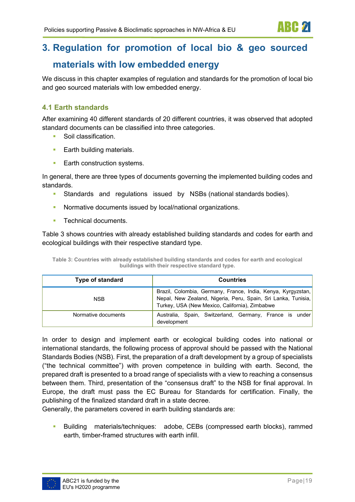<span id="page-18-0"></span>We discuss in this chapter examples of regulation and standards for the promotion of local bio and geo sourced materials with low embedded energy.

### <span id="page-18-1"></span>**4.1 Earth standards**

After examining 40 different standards of 20 different countries, it was observed that adopted standard documents can be classified into three categories.

- Soil classification.
- **Earth building materials.**
- **Earth construction systems.**

In general, there are three types of documents governing the implemented building codes and standards.

- Standards and regulations issued by NSBs (national standards bodies).
- **Normative documents issued by local/national organizations.**
- **Technical documents.**

[Table 3](#page-18-2) shows countries with already established building standards and codes for earth and ecological buildings with their respective standard type.

<span id="page-18-2"></span>

| Table 3: Countries with already established building standards and codes for earth and ecological |
|---------------------------------------------------------------------------------------------------|
| buildings with their respective standard type.                                                    |

| Type of standard    | <b>Countries</b>                                                                                                                                                                |
|---------------------|---------------------------------------------------------------------------------------------------------------------------------------------------------------------------------|
| <b>NSB</b>          | Brazil, Colombia, Germany, France, India, Kenya, Kyrgyzstan,<br>Nepal, New Zealand, Nigeria, Peru, Spain, Sri Lanka, Tunisia,<br>Turkey, USA (New Mexico, California), Zimbabwe |
| Normative documents | Australia, Spain, Switzerland, Germany, France is under<br>development                                                                                                          |

In order to design and implement earth or ecological building codes into national or international standards, the following process of approval should be passed with the National Standards Bodies (NSB). First, the preparation of a draft development by a group of specialists ("the technical committee") with proven competence in building with earth. Second, the prepared draft is presented to a broad range of specialists with a view to reaching a consensus between them. Third, presentation of the "consensus draft" to the NSB for final approval. In Europe, the draft must pass the EC Bureau for Standards for certification. Finally, the publishing of the finalized standard draft in a state decree.

Generally, the parameters covered in earth building standards are:

 Building materials/techniques: adobe, CEBs (compressed earth blocks), rammed earth, timber-framed structures with earth infill.

ARC 21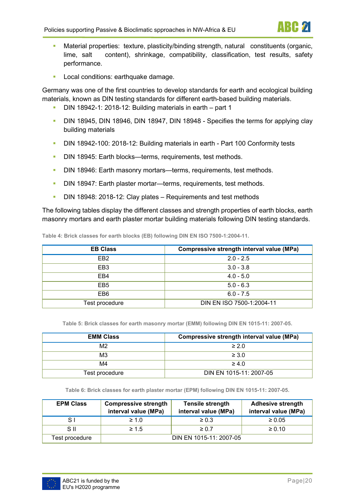

- Material properties: texture, plasticity/binding strength, natural constituents (organic, lime, salt content), shrinkage, compatibility, classification, test results, safety performance.
- **Local conditions: earthquake damage.**

Germany was one of the first countries to develop standards for earth and ecological building materials, known as DIN testing standards for different earth-based building materials.

- DIN 18942-1: 2018-12: Building materials in earth part 1
- DIN 18945, DIN 18946, DIN 18947, DIN 18948 Specifies the terms for applying clay building materials
- DIN 18942-100: 2018-12: Building materials in earth Part 100 Conformity tests
- DIN 18945: Earth blocks—terms, requirements, test methods.
- DIN 18946: Earth masonry mortars—terms, requirements, test methods.
- DIN 18947: Earth plaster mortar—terms, requirements, test methods.
- DIN 18948: 2018-12: Clay plates Requirements and test methods

The following tables display the different classes and strength properties of earth blocks, earth masonry mortars and earth plaster mortar building materials following DIN testing standards.

<span id="page-19-0"></span>**Table 4: Brick classes for earth blocks (EB) following DIN EN ISO 7500-1:2004-11.**

| <b>EB Class</b> | Compressive strength interval value (MPa) |  |
|-----------------|-------------------------------------------|--|
| EB <sub>2</sub> | $2.0 - 2.5$                               |  |
| EB <sub>3</sub> | $3.0 - 3.8$                               |  |
| EB4             | $4.0 - 5.0$                               |  |
| EB <sub>5</sub> | $5.0 - 6.3$                               |  |
| EB <sub>6</sub> | $6.0 - 7.5$                               |  |
| Test procedure  | DIN EN ISO 7500-1:2004-11                 |  |

**Table 5: Brick classes for earth masonry mortar (EMM) following DIN EN 1015-11: 2007-05.**

<span id="page-19-1"></span>

| <b>EMM Class</b> | Compressive strength interval value (MPa) |
|------------------|-------------------------------------------|
| M <sub>2</sub>   | $\geq 2.0$                                |
| M3               | $\geq 3.0$                                |
| M4               | $\geq 4.0$                                |
| Test procedure   | DIN EN 1015-11: 2007-05                   |

**Table 6: Brick classes for earth plaster mortar (EPM) following DIN EN 1015-11: 2007-05.**

<span id="page-19-2"></span>

| <b>EPM Class</b> | <b>Compressive strength</b><br>interval value (MPa) | <b>Tensile strength</b><br>interval value (MPa) | <b>Adhesive strength</b><br>interval value (MPa) |
|------------------|-----------------------------------------------------|-------------------------------------------------|--------------------------------------------------|
| S I              | $\geq 1.0$                                          | $\geq 0.3$                                      | $\geq 0.05$                                      |
| S II             | $\geq 1.5$                                          | $\geq 0.7$                                      | $\geq 0.10$                                      |
| Test procedure   |                                                     | DIN EN 1015-11: 2007-05                         |                                                  |

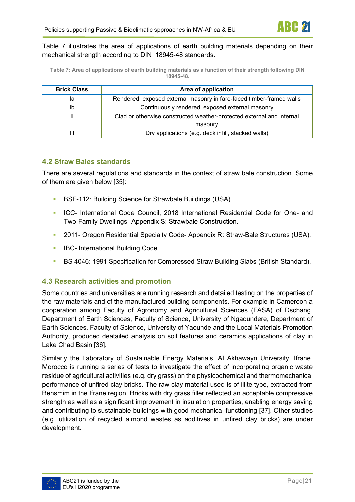[Table 7](#page-20-2) illustrates the area of applications of earth building materials depending on their mechanical strength according to DIN 18945-48 standards.

<span id="page-20-2"></span>**Table 7: Area of applications of earth building materials as a function of their strength following DIN 18945-48.**

| <b>Brick Class</b> | Area of application                                                   |  |
|--------------------|-----------------------------------------------------------------------|--|
| la                 | Rendered, exposed external masonry in fare-faced timber-framed walls  |  |
| Ib                 | Continuously rendered, exposed external masonry                       |  |
|                    | Clad or otherwise constructed weather-protected external and internal |  |
|                    | masonry                                                               |  |
| Ш                  | Dry applications (e.g. deck infill, stacked walls)                    |  |

#### <span id="page-20-0"></span>**4.2 Straw Bales standards**

There are several regulations and standards in the context of straw bale construction. Some of them are given below [35]:

- BSF-112: Building Science for Strawbale Buildings (USA)
- ICC- International Code Council, 2018 International Residential Code for One- and Two-Family Dwellings- Appendix S: Strawbale Construction.
- 2011- Oregon Residential Specialty Code- Appendix R: Straw-Bale Structures (USA).
- **IBC- International Building Code.**
- **BS 4046: 1991 Specification for Compressed Straw Building Slabs (British Standard).**

#### <span id="page-20-1"></span>**4.3 Research activities and promotion**

Some countries and universities are running research and detailed testing on the properties of the raw materials and of the manufactured building components. For example in Cameroon a cooperation among Faculty of Agronomy and Agricultural Sciences (FASA) of Dschang, Department of Earth Sciences, Faculty of Science, University of Ngaoundere, Department of Earth Sciences, Faculty of Science, University of Yaounde and the Local Materials Promotion Authority, produced deatailed analysis on soil features and ceramics applications of clay in Lake Chad Basin [36].

Similarly the Laboratory of Sustainable Energy Materials, Al Akhawayn University, Ifrane, Morocco is running a series of tests to investigate the effect of incorporating organic waste residue of agricultural activities (e.g. dry grass) on the physicochemical and thermomechanical performance of unfired clay bricks. The raw clay material used is of illite type, extracted from Bensmim in the Ifrane region. Bricks with dry grass filler reflected an acceptable compressive strength as well as a significant improvement in insulation properties, enabling energy saving and contributing to sustainable buildings with good mechanical functioning [37]. Other studies (e.g. utilization of recycled almond wastes as additives in unfired clay bricks) are under development.

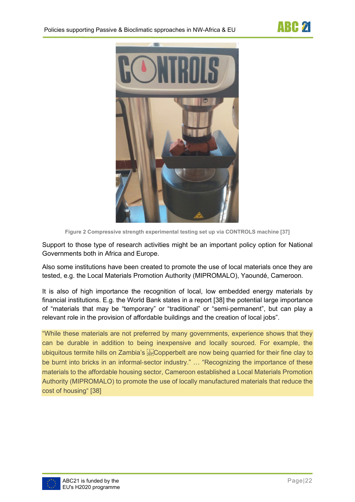

**Figure 2 Compressive strength experimental testing set up via CONTROLS machine [37]**

<span id="page-21-0"></span>Support to those type of research activities might be an important policy option for National Governments both in Africa and Europe.

Also some institutions have been created to promote the use of local materials once they are tested, e.g. the Local Materials Promotion Authority (MIPROMALO), Yaoundé, Cameroon.

It is also of high importance the recognition of local, low embedded energy materials by financial institutions. E.g. the World Bank states in a report [38] the potential large importance of "materials that may be "temporary" or "traditional" or "semi‐permanent", but can play a relevant role in the provision of affordable buildings and the creation of local jobs".

"While these materials are not preferred by many governments, experience shows that they can be durable in addition to being inexpensive and locally sourced. For example, the ubiquitous termite hills on Zambia's EPC opperbelt are now being quarried for their fine clay to be burnt into bricks in an informal-sector industry." ... "Recognizing the importance of these materials to the affordable housing sector, Cameroon established a Local Materials Promotion Authority (MIPROMALO) to promote the use of locally manufactured materials that reduce the cost of housing" [38]

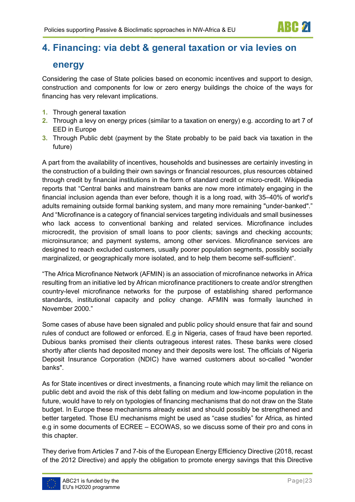# <span id="page-22-0"></span>**4. Financing: via debt & general taxation or via levies on**

### **energy**

Considering the case of State policies based on economic incentives and support to design, construction and components for low or zero energy buildings the choice of the ways for financing has very relevant implications.

- **1.** Through general taxation
- **2.** Through a levy on energy prices (similar to a taxation on energy) e.g. according to art 7 of EED in Europe
- **3.** Through Public debt (payment by the State probably to be paid back via taxation in the future)

A part from the availability of incentives, households and businesses are certainly investing in the construction of a building their own savings or financial resources, plus resources obtained through credit by financial institutions in the form of standard credit or micro-credit. Wikipedia reports that "Central banks and mainstream banks are now more intimately engaging in the financial inclusion agenda than ever before, though it is a long road, with 35–40% of world's adults remaining outside formal banking system, and many more remaining "under-banked"." And "Microfinance is a category of financial services targeting individuals and small businesses who lack access to conventional [banking](https://en.wikipedia.org/wiki/Banking) and related services. Microfinance includes [microcredit,](https://en.wikipedia.org/wiki/Microcredit) the provision of small loans to poor clients; [savings](https://en.wikipedia.org/wiki/Savings_account) and [checking accounts;](https://en.wikipedia.org/wiki/Checking_account) [microinsurance;](https://en.wikipedia.org/wiki/Microinsurance) and [payment systems,](https://en.wikipedia.org/wiki/Payment_system) among other services. Microfinance services are designed to reach excluded customers, usually poorer population segments, possibly socially marginalized, or geographically more isolated, and to help them become self-sufficient".

"The [Africa Microfinance Network \(AFMIN\)](http://www.afminetwork.org/) is an association of microfinance networks in Africa resulting from an initiative led by African microfinance practitioners to create and/or strengthen country-level microfinance networks for the purpose of establishing shared performance standards, institutional capacity and policy change. AFMIN was formally launched in November 2000."

Some cases of abuse have been signaled and public policy should ensure that fair and sound rules of conduct are followed or enforced. E.g in Nigeria, cases of fraud have been reported. Dubious banks promised their clients outrageous interest rates. These banks were closed shortly after clients had deposited money and their deposits were lost. The officials of Nigeria Deposit Insurance Corporation (NDIC) have warned customers about so-called "wonder banks".

As for State incentives or direct investments, a financing route which may limit the reliance on public debt and avoid the risk of this debt falling on medium and low-income population in the future, would have to rely on typologies of financing mechanisms that do not draw on the State budget. In Europe these mechanisms already exist and should possibly be strengthened and better targeted. Those EU mechanisms might be used as "case studies" for Africa, as hinted e.g in some documents of ECREE – ECOWAS, so we discuss some of their pro and cons in this chapter.

They derive from Articles 7 and 7-bis of the European Energy Efficiency Directive (2018, recast of the 2012 Directive) and apply the obligation to promote energy savings that this Directive

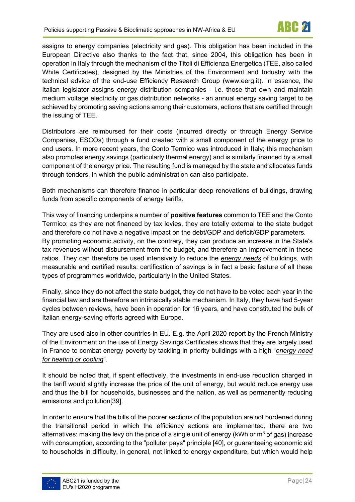assigns to energy companies (electricity and gas). This obligation has been included in the European Directive also thanks to the fact that, since 2004, this obligation has been in operation in Italy through the mechanism of the Titoli di Efficienza Energetica (TEE, also called White Certificates), designed by the Ministries of the Environment and Industry with the technical advice of the end-use Efficiency Research Group (www.eerg.it). In essence, the Italian legislator assigns energy distribution companies - i.e. those that own and maintain medium voltage electricity or gas distribution networks - an annual energy saving target to be achieved by promoting saving actions among their customers, actions that are certified through the issuing of TEE.

Distributors are reimbursed for their costs (incurred directly or through Energy Service Companies, ESCOs) through a fund created with a small component of the energy price to end users. In more recent years, the Conto Termico was introduced in Italy; this mechanism also promotes energy savings (particularly thermal energy) and is similarly financed by a small component of the energy price. The resulting fund is managed by the state and allocates funds through tenders, in which the public administration can also participate.

Both mechanisms can therefore finance in particular deep renovations of buildings, drawing funds from specific components of energy tariffs.

This way of financing underpins a number of **positive features** common to TEE and the Conto Termico: as they are not financed by tax levies, they are totally external to the state budget and therefore do not have a negative impact on the debt/GDP and deficit/GDP parameters. By promoting economic activity, on the contrary, they can produce an increase in the State's tax revenues without disbursement from the budget, and therefore an improvement in these ratios. They can therefore be used intensively to reduce the *energy needs* of buildings, with measurable and certified results: certification of savings is in fact a basic feature of all these types of programmes worldwide, particularly in the United States.

Finally, since they do not affect the state budget, they do not have to be voted each year in the financial law and are therefore an intrinsically stable mechanism. In Italy, they have had 5-year cycles between reviews, have been in operation for 16 years, and have constituted the bulk of Italian energy-saving efforts agreed with Europe.

They are used also in other countries in EU. E.g. the April 2020 report by the French Ministry of the Environment on the use of Energy Savings Certificates shows that they are largely used in France to combat energy poverty by tackling in priority buildings with a high "*energy need for heating or cooling*".

It should be noted that, if spent effectively, the investments in end-use reduction charged in the tariff would slightly increase the price of the unit of energy, but would reduce energy use and thus the bill for households, businesses and the nation, as well as permanently reducing emissions and pollution[39].

In order to ensure that the bills of the poorer sections of the population are not burdened during the transitional period in which the efficiency actions are implemented, there are two alternatives: making the levy on the price of a single unit of energy (kWh or  $m^3$  of gas) increase with consumption, according to the "polluter pays" principle [40], or guaranteeing economic aid to households in difficulty, in general, not linked to energy expenditure, but which would help

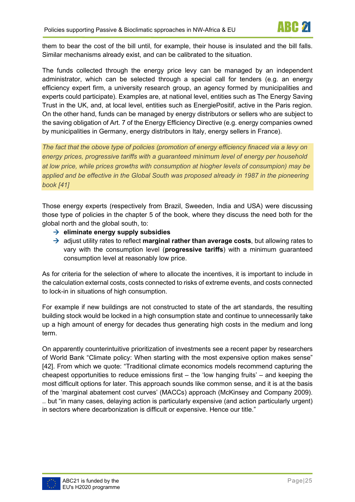them to bear the cost of the bill until, for example, their house is insulated and the bill falls. Similar mechanisms already exist, and can be calibrated to the situation.

The funds collected through the energy price levy can be managed by an independent administrator, which can be selected through a special call for tenders (e.g. an energy efficiency expert firm, a university research group, an agency formed by municipalities and experts could participate). Examples are, at national level, entities such as The Energy Saving Trust in the UK, and, at local level, entities such as EnergiePositif, active in the Paris region. On the other hand, funds can be managed by energy distributors or sellers who are subject to the saving obligation of Art. 7 of the Energy Efficiency Directive (e.g. energy companies owned by municipalities in Germany, energy distributors in Italy, energy sellers in France).

*The fact that the obove type of policies (promotion of energy efficiency finaced via a levy on energy prices, progressive tariffs with a guaranteed minimum level of energy per household at low price, while prices growths with consumption at hiogher levels of consumpion) may be applied and be effective in the Global South was proposed already in 1987 in the pioneering book [41]* 

Those energy experts (respectively from Brazil, Sweeden, India and USA) were discussing those type of policies in the chapter 5 of the book, where they discuss the need both for the global north and the global south, to:

- $\rightarrow$  **eliminate energy supply subsidies**
- adjust utility rates to reflect **marginal rather than average costs**, but allowing rates to vary with the consumption level (**progressive tariffs**) with a minimum guaranteed consumption level at reasonably low price.

As for criteria for the selection of where to allocate the incentives, it is important to include in the calculation external costs, costs connected to risks of extreme events, and costs connected to lock-in in situations of high consumption.

For example if new buildings are not constructed to state of the art standards, the resulting building stock would be locked in a high consumption state and continue to unnecessarily take up a high amount of energy for decades thus generating high costs in the medium and long term.

On apparently counterintuitive prioritization of investments see a recent paper by researchers of World Bank "Climate policy: When starting with the most expensive option makes sense" [42]. From which we quote: "Traditional climate economics models recommend capturing the cheapest opportunities to reduce emissions first  $-$  the 'low hanging fruits'  $-$  and keeping the most difficult options for later. This approach sounds like common sense, and it is at the basis of the 'marginal abatement cost curves' (MACCs) approach (McKinsey and Company 2009). .. but "in many cases, delaying action is particularly expensive (and action particularly urgent) in sectors where decarbonization is difficult or expensive. Hence our title."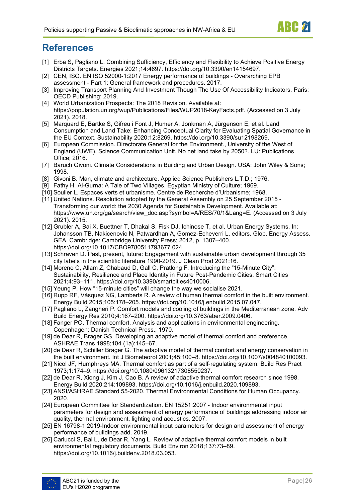

## <span id="page-25-0"></span>**References**

- [1] Erba S, Pagliano L. Combining Sufficiency, Efficiency and Flexibility to Achieve Positive Energy Districts Targets. Energies 2021;14:4697. https://doi.org/10.3390/en14154697.
- [2] CEN, ISO. EN ISO 52000-1:2017 Energy performance of buildings Overarching EPB assessment - Part 1: General framework and procedures. 2017.
- [3] Improving Transport Planning And Investment Though The Use Of Accessibility Indicators. Paris: OECD Publishing; 2019.
- [4] World Urbanization Prospects: The 2018 Revision. Available at: https://population.un.org/wup/Publications/Files/WUP2018-KeyFacts.pdf. (Accessed on 3 July 2021). 2018.
- [5] Marquard E, Bartke S, Gifreu i Font J, Humer A, Jonkman A, Jürgenson E, et al. Land Consumption and Land Take: Enhancing Conceptual Clarity for Evaluating Spatial Governance in the EU Context. Sustainability 2020;12:8269. https://doi.org/10.3390/su12198269.
- [6] European Commission. Directorate General for the Environment., University of the West of England (UWE). Science Communication Unit. No net land take by 2050?. LU: Publications Office; 2016.
- [7] Baruch Givoni. Climate Considerations in Building and Urban Design. USA: John Wiley & Sons; 1998.
- [8] Givoni B. Man, climate and architecture. Applied Science Publishers L.T.D.; 1976.
- [9] Fathy H. Al-Gurna: A Tale of Two Villages. Egyptian Ministry of Culture; 1969.
- [10] Soulier L. Espaces verts et urbanisme. Centre de Recherche d'Urbanisme; 1968.
- [11] United Nations. Resolution adopted by the General Assembly on 25 September 2015 Transforming our world: the 2030 Agenda for Sustainable Development. Available at: https://www.un.org/ga/search/view\_doc.asp?symbol=A/RES/70/1&Lang=E. (Accessed on 3 July 2021). 2015.
- [12] Grubler A, Bai X, Buettner T, Dhakal S, Fisk DJ, Ichinose T, et al. Urban Energy Systems. In: Johansson TB, Nakicenovic N, Patwardhan A, Gomez-Echeverri L, editors. Glob. Energy Assess. GEA, Cambridge: Cambridge University Press; 2012, p. 1307–400. https://doi.org/10.1017/CBO9780511793677.024.
- [13] Schraven D. Past, present, future: Engagement with sustainable urban development through 35 city labels in the scientific literature 1990-2019. J Clean Prod 2021:16.
- [14] Moreno C, Allam Z, Chabaud D, Gall C, Pratlong F. Introducing the "15-Minute City": Sustainability, Resilience and Place Identity in Future Post-Pandemic Cities. Smart Cities 2021;4:93–111. https://doi.org/10.3390/smartcities4010006.
- [15] Yeung P. How "15-minute cities" will change the way we socialise 2021.
- [16] Rupp RF, Vásquez NG, Lamberts R. A review of human thermal comfort in the built environment. Energy Build 2015;105:178–205. https://doi.org/10.1016/j.enbuild.2015.07.047.
- [17] Pagliano L, Zangheri P. Comfort models and cooling of buildings in the Mediterranean zone. Adv Build Energy Res 2010;4:167–200. https://doi.org/10.3763/aber.2009.0406.
- [18] Fanger PO. Thermal comfort. Analysis and applications in environmental engineering. Copenhagen: Danish Technical Press.; 1970.
- [19] de Dear R, Brager GS. Developing an adaptive model of thermal comfort and preference. ASHRAE Trans 1998;104 (1a):145–67.
- [20] de Dear R, Schiller Brager G. The adaptive model of thermal comfort and energy conservation in the built environment. Int J Biometeorol 2001;45:100–8. https://doi.org/10.1007/s004840100093.
- [21] Nicol JF, Humphreys MA. Thermal comfort as part of a self-regulating system. Build Res Pract 1973;1:174–9. https://doi.org/10.1080/09613217308550237.
- [22] de Dear R, Xiong J, Kim J, Cao B. A review of adaptive thermal comfort research since 1998. Energy Build 2020;214:109893. https://doi.org/10.1016/j.enbuild.2020.109893.
- [23] ANSI/ASHRAE Standard 55-2020. Thermal Environmental Conditions for Human Occupancy. 2020.
- [24] European Committee for Standardization. EN 15251:2007 Indoor environmental input parameters for design and assessment of energy performance of buildings addressing indoor air quality, thermal environment, lighting and acoustics. 2007.
- [25] EN 16798-1:2019-Indoor environmental input parameters for design and assessment of energy performance of buildings add. 2019.
- [26] Carlucci S, Bai L, de Dear R, Yang L. Review of adaptive thermal comfort models in built environmental regulatory documents. Build Environ 2018;137:73–89. https://doi.org/10.1016/j.buildenv.2018.03.053.